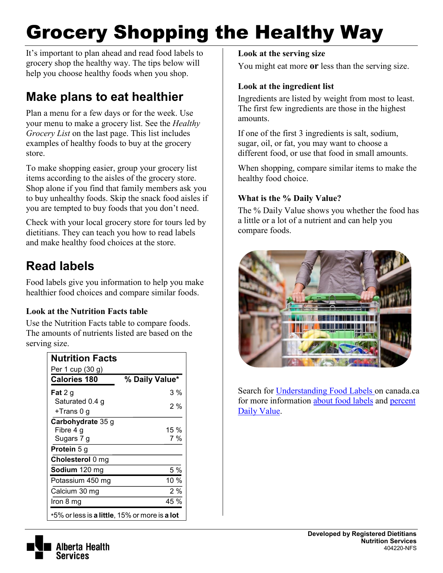# Grocery Shopping the Healthy Way

It's important to plan ahead and read food labels to grocery shop the healthy way. The tips below will help you choose healthy foods when you shop.

# **Make plans to eat healthier**

Plan a menu for a few days or for the week. Use your menu to make a grocery list. See the *Healthy Grocery List* on the last page. This list includes examples of healthy foods to buy at the grocery store.

To make shopping easier, group your grocery list items according to the aisles of the grocery store. Shop alone if you find that family members ask you to buy unhealthy foods. Skip the snack food aisles if you are tempted to buy foods that you don't need.

Check with your local grocery store for tours led by dietitians. They can teach you how to read labels and make healthy food choices at the store.

# **Read labels**

Food labels give you information to help you make healthier food choices and compare similar foods.

## **Look at the Nutrition Facts table**

Use the Nutrition Facts table to compare foods. The amounts of nutrients listed are based on the serving size.

| <b>Nutrition Facts</b><br>Per 1 cup (30 g)                   |                |  |  |  |
|--------------------------------------------------------------|----------------|--|--|--|
| <b>Calories 180</b>                                          | % Daily Value* |  |  |  |
| <b>Fat</b> 2 g                                               | 3 %            |  |  |  |
| Saturated 0.4 g                                              | 2%             |  |  |  |
| +Trans 0 g                                                   |                |  |  |  |
| Carbohydrate 35 g                                            |                |  |  |  |
| Fibre 4 g                                                    | 15 %           |  |  |  |
| Sugars 7 g                                                   | 7%             |  |  |  |
| Protein 5 g                                                  |                |  |  |  |
| Cholesterol 0 mg                                             |                |  |  |  |
| <b>Sodium</b> 120 mg                                         | 5 %            |  |  |  |
| Potassium 450 mg                                             | 10 %           |  |  |  |
| Calcium 30 mg                                                | 2%             |  |  |  |
| Iron 8 mg                                                    | 45 %           |  |  |  |
| *5% or less is <b>a little</b> , 15% or more is <b>a lot</b> |                |  |  |  |

**Look at the serving size** 

You might eat more **or** less than the serving size.

## **Look at the ingredient list**

Ingredients are listed by weight from most to least. The first few ingredients are those in the highest amounts.

If one of the first 3 ingredients is salt, sodium, sugar, oil, or fat, you may want to choose a different food, or use that food in small amounts.

When shopping, compare similar items to make the healthy food choice.

## **What is the % Daily Value?**

The % Daily Value shows you whether the food has a little or a lot of a nutrient and can help you compare foods.



Search for [Understanding Food Labels o](http://healthycanadians.gc.ca/eating-nutrition/label-etiquetage/understanding-comprendre/index-eng.php)n canada.ca for more information [about food labels](http://healthycanadians.gc.ca/eating-nutrition/label-etiquetage/understanding-comprendre/what-quoi-eng.php) and [percent](http://healthycanadians.gc.ca/eating-nutrition/label-etiquetage/understanding-comprendre/daily-value-valeur-quotidienne-eng.php)  [Daily Value.](http://healthycanadians.gc.ca/eating-nutrition/label-etiquetage/understanding-comprendre/daily-value-valeur-quotidienne-eng.php)

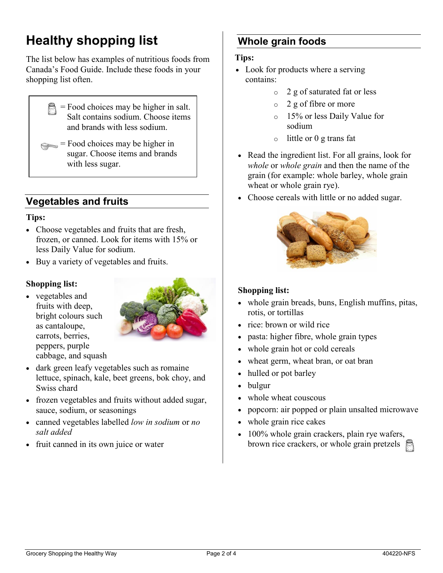# **Healthy shopping list**

The list below has examples of nutritious foods from Canada's Food Guide. Include these foods in your shopping list often.

- = Food choices may be higher in salt. Salt contains sodium. Choose items and brands with less sodium.
- $=$  Food choices may be higher in sugar. Choose items and brands with less sugar.

# **Vegetables and fruits**

#### **Tips:**

- Choose vegetables and fruits that are fresh, frozen, or canned. Look for items with 15% or less Daily Value for sodium.
- Buy a variety of vegetables and fruits.

#### **Shopping list:**

• vegetables and fruits with deep, bright colours such as cantaloupe, carrots, berries, peppers, purple cabbage, and squash



- dark green leafy vegetables such as romaine lettuce, spinach, kale, beet greens, bok choy, and Swiss chard
- frozen vegetables and fruits without added sugar, sauce, sodium, or seasonings
- canned vegetables labelled *low in sodium* or *no salt added*
- fruit canned in its own juice or water

# **Whole grain foods**

#### **Tips:**

- Look for products where a serving contains:
	- o 2 g of saturated fat or less
	- o 2 g of fibre or more
	- o 15% or less Daily Value for sodium
	- o little or 0 g trans fat
- Read the ingredient list. For all grains, look for *whole* or *whole grain* and then the name of the grain (for example: whole barley, whole grain wheat or whole grain rye).
- Choose cereals with little or no added sugar.



## **Shopping list:**

- whole grain breads, buns, English muffins, pitas, rotis, or tortillas
- rice: brown or wild rice
- pasta: higher fibre, whole grain types
- whole grain hot or cold cereals
- wheat germ, wheat bran, or oat bran
- hulled or pot barley
- bulgur
- whole wheat couscous
- popcorn: air popped or plain unsalted microwave
- whole grain rice cakes
- 100% whole grain crackers, plain rye wafers, brown rice crackers, or whole grain pretzels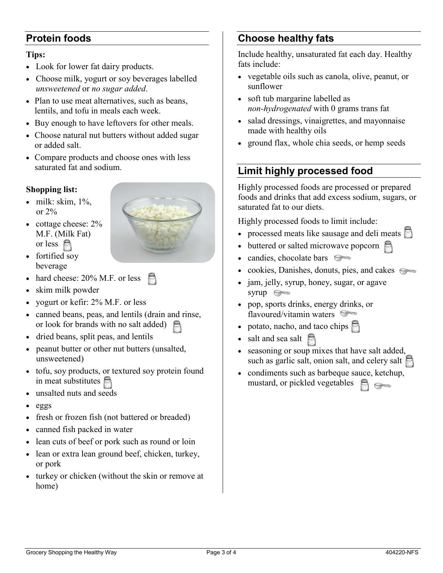# **Protein foods**

#### **Tips:**

- Look for lower fat dairy products.
- Choose milk, yogurt or soy beverages labelled *unsweetened* or *no sugar added*.
- Plan to use meat alternatives, such as beans, lentils, and tofu in meals each week.
- Buy enough to have leftovers for other meals.
- Choose natural nut butters without added sugar or added salt.
- Compare products and choose ones with less saturated fat and sodium.

#### **Shopping list:**

- $\bullet$  milk: skim,  $1\%$ , or 2%
- cottage cheese:  $2\%$ M.F. (Milk Fat) or less  $\approx$
- 
- fortified soy beverage
- hard cheese: 20% M.F. or less
- skim milk powder
- yogurt or kefir: 2% M.F. or less
- canned beans, peas, and lentils (drain and rinse, or look for brands with no salt added)
- dried beans, split peas, and lentils
- peanut butter or other nut butters (unsalted, unsweetened)
- tofu, soy products, or textured soy protein found in meat substitutes
- unsalted nuts and seeds
- eggs
- fresh or frozen fish (not battered or breaded)
- canned fish packed in water
- lean cuts of beef or pork such as round or loin
- lean or extra lean ground beef, chicken, turkey, or pork
- turkey or chicken (without the skin or remove at home)

# **Choose healthy fats**

Include healthy, unsaturated fat each day. Healthy fats include:

- vegetable oils such as canola, olive, peanut, or sunflower
- soft tub margarine labelled as *non-hydrogenated* with 0 grams trans fat
- salad dressings, vinaigrettes, and mayonnaise made with healthy oils
- ground flax, whole chia seeds, or hemp seeds

# **Limit highly processed food**

Highly processed foods are processed or prepared foods and drinks that add excess sodium, sugars, or saturated fat to our diets.

Highly processed foods to limit include:

- processed meats like sausage and deli meats  $\Box$
- buttered or salted microwave popcorn
- candies, chocolate bars
- cookies, Danishes, donuts, pies, and cakes
- jam, jelly, syrup, honey, sugar, or agave syrup  $\iff$
- pop, sports drinks, energy drinks, or flavoured/vitamin waters
- potato, nacho, and taco chips
- salt and sea salt
- seasoning or soup mixes that have salt added, such as garlic salt, onion salt, and celery salt
- condiments such as barbeque sauce, ketchup, mustard, or pickled vegetables  $\Longleftrightarrow$